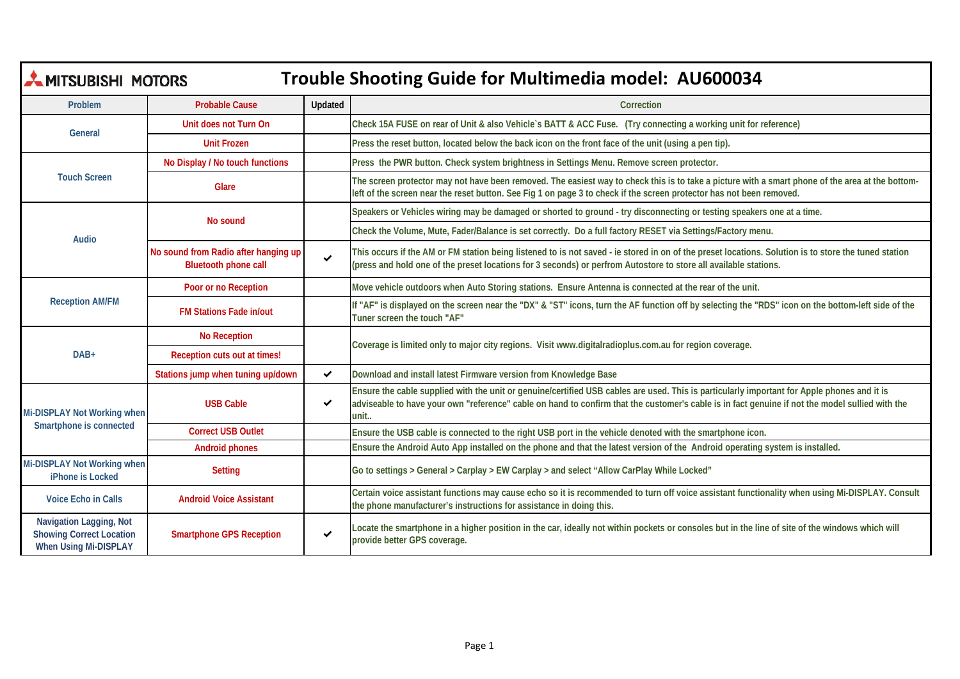| <b>MITSUBISHI MOTORS</b><br>Trouble Shooting Guide for Multimedia model: AU600034   |                                                                     |              |                                                                                                                                                                                                                                                                                                        |  |  |  |
|-------------------------------------------------------------------------------------|---------------------------------------------------------------------|--------------|--------------------------------------------------------------------------------------------------------------------------------------------------------------------------------------------------------------------------------------------------------------------------------------------------------|--|--|--|
| Problem                                                                             | <b>Probable Cause</b>                                               | Updated      | Correction                                                                                                                                                                                                                                                                                             |  |  |  |
| General                                                                             | Unit does not Turn On                                               |              | Check 15A FUSE on rear of Unit & also Vehicle's BATT & ACC Fuse. (Try connecting a working unit for reference)                                                                                                                                                                                         |  |  |  |
|                                                                                     | <b>Unit Frozen</b>                                                  |              | Press the reset button, located below the back icon on the front face of the unit (using a pen tip).                                                                                                                                                                                                   |  |  |  |
| <b>Touch Screen</b>                                                                 | No Display / No touch functions                                     |              | Press the PWR button. Check system brightness in Settings Menu. Remove screen protector.                                                                                                                                                                                                               |  |  |  |
|                                                                                     | Glare                                                               |              | The screen protector may not have been removed. The easiest way to check this is to take a picture with a smart phone of the area at the bottom-<br>left of the screen near the reset button. See Fig 1 on page 3 to check if the screen protector has not been removed.                               |  |  |  |
| Audio                                                                               | No sound                                                            |              | Speakers or Vehicles wiring may be damaged or shorted to ground - try disconnecting or testing speakers one at a time.                                                                                                                                                                                 |  |  |  |
|                                                                                     |                                                                     |              | Check the Volume, Mute, Fader/Balance is set correctly. Do a full factory RESET via Settings/Factory menu.                                                                                                                                                                                             |  |  |  |
|                                                                                     | No sound from Radio after hanging up<br><b>Bluetooth phone call</b> | $\checkmark$ | This occurs if the AM or FM station being listened to is not saved - ie stored in on of the preset locations. Solution is to store the tuned station<br>(press and hold one of the preset locations for 3 seconds) or perfrom Autostore to store all available stations.                               |  |  |  |
|                                                                                     | Poor or no Reception                                                |              | Move vehicle outdoors when Auto Storing stations. Ensure Antenna is connected at the rear of the unit.                                                                                                                                                                                                 |  |  |  |
| <b>Reception AM/FM</b>                                                              | <b>FM Stations Fade in/out</b>                                      |              | If "AF" is displayed on the screen near the "DX" & "ST" icons, turn the AF function off by selecting the "RDS" icon on the bottom-left side of the<br>Tuner screen the touch "AF"                                                                                                                      |  |  |  |
|                                                                                     | <b>No Reception</b>                                                 |              | Coverage is limited only to major city regions. Visit www.digitalradioplus.com.au for region coverage.                                                                                                                                                                                                 |  |  |  |
| DAB+                                                                                | Reception cuts out at times!                                        |              |                                                                                                                                                                                                                                                                                                        |  |  |  |
|                                                                                     | Stations jump when tuning up/down                                   | ✓            | Download and install latest Firmware version from Knowledge Base                                                                                                                                                                                                                                       |  |  |  |
| Mi-DISPLAY Not Working when                                                         | <b>USB Cable</b>                                                    | ✓            | Ensure the cable supplied with the unit or genuine/certified USB cables are used. This is particularly important for Apple phones and it is<br>adviseable to have your own "reference" cable on hand to confirm that the customer's cable is in fact genuine if not the model sullied with the<br>unit |  |  |  |
| Smartphone is connected                                                             | <b>Correct USB Outlet</b>                                           |              | Ensure the USB cable is connected to the right USB port in the vehicle denoted with the smartphone icon.                                                                                                                                                                                               |  |  |  |
|                                                                                     | <b>Android phones</b>                                               |              | Ensure the Android Auto App installed on the phone and that the latest version of the Android operating system is installed.                                                                                                                                                                           |  |  |  |
| Mi-DISPLAY Not Working when<br>iPhone is Locked                                     | <b>Setting</b>                                                      |              | Go to settings > General > Carplay > EW Carplay > and select "Allow CarPlay While Locked"                                                                                                                                                                                                              |  |  |  |
| <b>Voice Echo in Calls</b>                                                          | <b>Android Voice Assistant</b>                                      |              | Certain voice assistant functions may cause echo so it is recommended to turn off voice assistant functionality when using Mi-DISPLAY. Consult<br>the phone manufacturer's instructions for assistance in doing this.                                                                                  |  |  |  |
| Navigation Lagging, Not<br><b>Showing Correct Location</b><br>When Using Mi-DISPLAY | <b>Smartphone GPS Reception</b>                                     | $\checkmark$ | Locate the smartphone in a higher position in the car, ideally not within pockets or consoles but in the line of site of the windows which will<br>provide better GPS coverage.                                                                                                                        |  |  |  |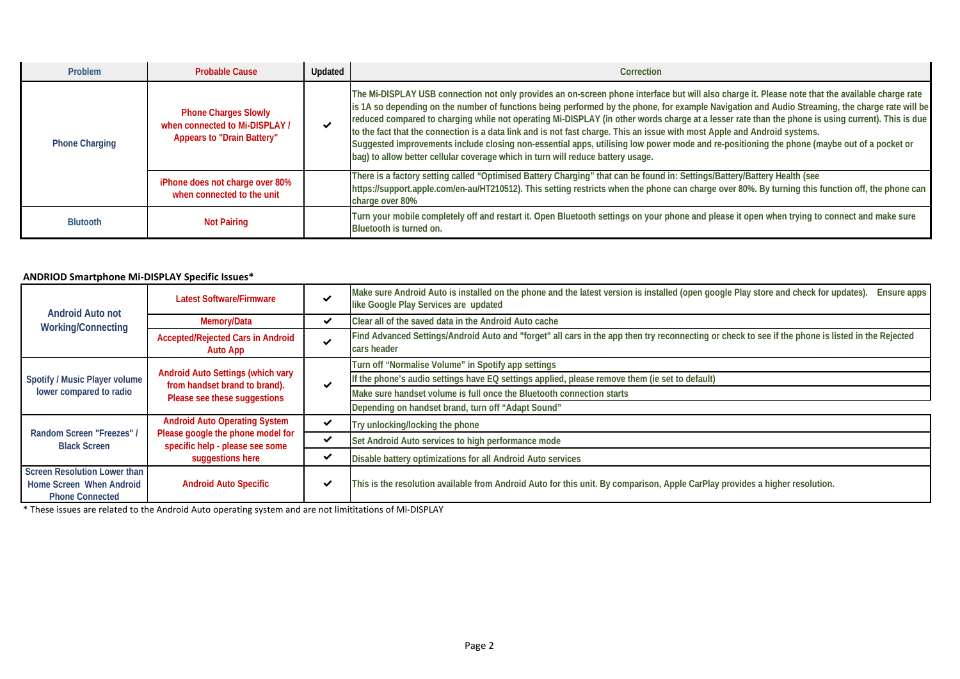| Problem               | <b>Probable Cause</b>                                                                              | Updated      | Correction                                                                                                                                                                                                                                                                                                                                                                                                                                                                                                                                                                                                                                                                                                                                                                                                             |
|-----------------------|----------------------------------------------------------------------------------------------------|--------------|------------------------------------------------------------------------------------------------------------------------------------------------------------------------------------------------------------------------------------------------------------------------------------------------------------------------------------------------------------------------------------------------------------------------------------------------------------------------------------------------------------------------------------------------------------------------------------------------------------------------------------------------------------------------------------------------------------------------------------------------------------------------------------------------------------------------|
| <b>Phone Charging</b> | <b>Phone Charges Slowly</b><br>when connected to Mi-DISPLAY /<br><b>Appears to "Drain Battery"</b> | $\checkmark$ | The Mi-DISPLAY USB connection not only provides an on-screen phone interface but will also charge it. Please note that the available charge rate<br>is 1A so depending on the number of functions being performed by the phone, for example Navigation and Audio Streaming, the charge rate will be<br>reduced compared to charging while not operating Mi-DISPLAY (in other words charge at a lesser rate than the phone is using current). This is due<br>to the fact that the connection is a data link and is not fast charge. This an issue with most Apple and Android systems.<br>Suggested improvements include closing non-essential apps, utilising low power mode and re-positioning the phone (maybe out of a pocket or<br>bag) to allow better cellular coverage which in turn will reduce battery usage. |
|                       | iPhone does not charge over 80%<br>when connected to the unit                                      |              | There is a factory setting called "Optimised Battery Charging" that can be found in: Settings/Battery/Battery Health (see<br>https://support.apple.com/en-au/HT210512). This setting restricts when the phone can charge over 80%. By turning this function off, the phone can<br>charge over 80%                                                                                                                                                                                                                                                                                                                                                                                                                                                                                                                      |
| <b>Blutooth</b>       | <b>Not Pairing</b>                                                                                 |              | Turn your mobile completely off and restart it. Open Bluetooth settings on your phone and please it open when trying to connect and make sure<br>Bluetooth is turned on.                                                                                                                                                                                                                                                                                                                                                                                                                                                                                                                                                                                                                                               |

## **ANDRIOD Smartphone Mi-DISPLAY Specific Issues\***

| Android Auto not<br><b>Working/Connecting</b>            | <b>Latest Software/Firmware</b>                                                                                                  | ✔            | Make sure Android Auto is installed on the phone and the latest version is installed (open google Play store and check for updates).<br>Ensure apps<br>like Google Play Services are updated |
|----------------------------------------------------------|----------------------------------------------------------------------------------------------------------------------------------|--------------|----------------------------------------------------------------------------------------------------------------------------------------------------------------------------------------------|
|                                                          | Memory/Data                                                                                                                      | ✔            | Clear all of the saved data in the Android Auto cache                                                                                                                                        |
|                                                          | <b>Accepted/Rejected Cars in Android</b><br><b>Auto App</b>                                                                      | ✔            | Find Advanced Settings/Android Auto and "forget" all cars in the app then try reconnecting or check to see if the phone is listed in the Rejected<br>cars header                             |
| Spotify / Music Player volume<br>lower compared to radio | <b>Android Auto Settings (which vary</b><br>from handset brand to brand).<br>Please see these suggestions                        | $\checkmark$ | Turn off "Normalise Volume" in Spotify app settings                                                                                                                                          |
|                                                          |                                                                                                                                  |              | If the phone's audio settings have EQ settings applied, please remove them (ie set to default)                                                                                               |
|                                                          |                                                                                                                                  |              | Make sure handset volume is full once the Bluetooth connection starts                                                                                                                        |
|                                                          |                                                                                                                                  |              | Depending on handset brand, turn off "Adapt Sound"                                                                                                                                           |
| Random Screen "Freezes" /<br><b>Black Screen</b>         | <b>Android Auto Operating System</b><br>Please google the phone model for<br>specific help - please see some<br>suggestions here | ✔            | Try unlocking/locking the phone                                                                                                                                                              |
|                                                          |                                                                                                                                  | $\checkmark$ | Set Android Auto services to high performance mode                                                                                                                                           |
|                                                          |                                                                                                                                  | $\checkmark$ | Disable battery optimizations for all Android Auto services                                                                                                                                  |
| <b>Screen Resolution Lower than</b>                      | <b>Android Auto Specific</b>                                                                                                     | ✓            | This is the resolution available from Android Auto for this unit. By comparison, Apple CarPlay provides a higher resolution.                                                                 |
| Home Screen When Android                                 |                                                                                                                                  |              |                                                                                                                                                                                              |
| <b>Phone Connected</b>                                   |                                                                                                                                  |              |                                                                                                                                                                                              |

\* These issues are related to the Android Auto operating system and are not limititations of Mi-DISPLAY